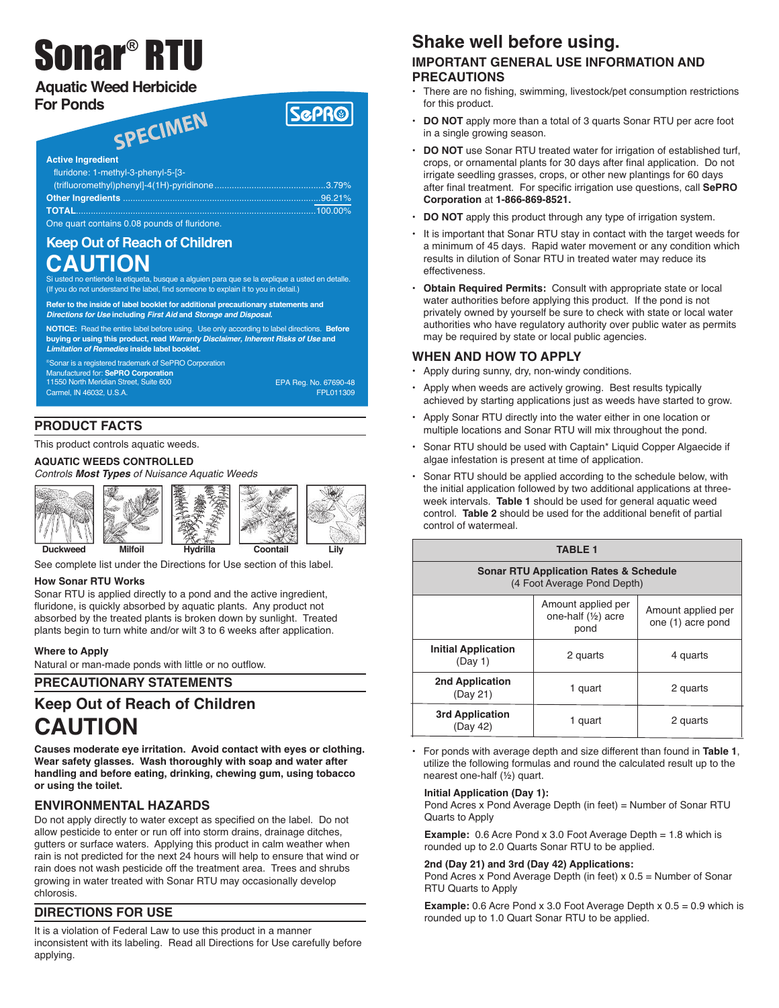# Sonar ® RTU

## **Aquatic Weed Herbicide For Ponds**

## SPECIMEN

| <b>Active Ingredient</b>                    |  |
|---------------------------------------------|--|
| fluridone: 1-methyl-3-phenyl-5-[3-          |  |
|                                             |  |
|                                             |  |
| TOTAL…………………………………………………………………………………100.00% |  |
| One quart contains 0.08 pounds of fluridone |  |

## **Keep Out of Reach of Children CAUTION**

le la etiqueta, busque a alguien para que se la explique a usted en detalle. (If you do not understand the label, find someone to explain it to you in detail.)

**Refer to the inside of label booklet for additional precautionary statements and Directions for Use including First Aid and Storage and Disposal.**

**NOTICE:** Read the entire label before using. Use only according to label directions. **Before buying or using this product, read Warranty Disclaimer, Inherent Risks of Use and Limitation of Remedies inside label booklet.**

Sonar is a registered trademark of SePRO Corporation Manufactured for: **SePRO Corporation** 11550 North Meridian Street, Suite 600 Carmel, IN 46032, U.S.A.

EPA Reg. No. 67690-48 FPL011309

**SGPR®** 

## **PRODUCT FACTS**

This product controls aquatic weeds.

## **AQUATIC WEEDS CONTROLLED**

*Controls Most Types of Nuisance Aquatic Weeds*



See complete list under the Directions for Use section of this label.

### **How Sonar RTU Works**

Sonar RTU is applied directly to a pond and the active ingredient, fluridone, is quickly absorbed by aquatic plants. Any product not absorbed by the treated plants is broken down by sunlight. Treated plants begin to turn white and/or wilt 3 to 6 weeks after application.

### **Where to Apply**

Natural or man-made ponds with little or no outflow.

## **PRECAUTIONARY STATEMENTS**

## **Keep Out of Reach of Children CAUTION**

**Causes moderate eye irritation. Avoid contact with eyes or clothing. Wear safety glasses. Wash thoroughly with soap and water after handling and before eating, drinking, chewing gum, using tobacco or using the toilet.**

## **ENVIRONMENTAL HAZARDS**

Do not apply directly to water except as specified on the label. Do not allow pesticide to enter or run off into storm drains, drainage ditches, gutters or surface waters. Applying this product in calm weather when rain is not predicted for the next 24 hours will help to ensure that wind or rain does not wash pesticide off the treatment area. Trees and shrubs growing in water treated with Sonar RTU may occasionally develop chlorosis.

## **DIRECTIONS FOR USE**

It is a violation of Federal Law to use this product in a manner inconsistent with its labeling. Read all Directions for Use carefully before applying.

## **Shake well before using.**

## **IMPORTANT GENERAL USE INFORMATION AND PRECAUTIONS**

- There are no fishing, swimming, livestock/pet consumption restrictions for this product.
- **DO NOT** apply more than a total of 3 quarts Sonar RTU per acre foot in a single growing season.
- **DO NOT** use Sonar RTU treated water for irrigation of established turf, crops, or ornamental plants for 30 days after final application. Do not irrigate seedling grasses, crops, or other new plantings for 60 days after final treatment. For specific irrigation use questions, call **SePRO Corporation** at **1-866-869-8521.**
- **DO NOT** apply this product through any type of irrigation system.
- It is important that Sonar RTU stay in contact with the target weeds for a minimum of 45 days. Rapid water movement or any condition which results in dilution of Sonar RTU in treated water may reduce its effectiveness.
- **Obtain Required Permits:** Consult with appropriate state or local water authorities before applying this product. If the pond is not privately owned by yourself be sure to check with state or local water authorities who have regulatory authority over public water as permits may be required by state or local public agencies.

## **WHEN AND HOW TO APPLY**

- Apply during sunny, dry, non-windy conditions.
- Apply when weeds are actively growing. Best results typically achieved by starting applications just as weeds have started to grow.
- Apply Sonar RTU directly into the water either in one location or multiple locations and Sonar RTU will mix throughout the pond.
- Sonar RTU should be used with Captain\* Liquid Copper Algaecide if algae infestation is present at time of application.
- Sonar RTU should be applied according to the schedule below, with the initial application followed by two additional applications at threeweek intervals. **Table 1** should be used for general aquatic weed control. **Table 2** should be used for the additional benefit of partial control of watermeal.

| <b>TABLE 1</b>                                                                   |                                                             |                                         |  |  |
|----------------------------------------------------------------------------------|-------------------------------------------------------------|-----------------------------------------|--|--|
| <b>Sonar RTU Application Rates &amp; Schedule</b><br>(4 Foot Average Pond Depth) |                                                             |                                         |  |  |
|                                                                                  | Amount applied per<br>one-half $(\frac{1}{2})$ acre<br>pond | Amount applied per<br>one (1) acre pond |  |  |
| <b>Initial Application</b><br>(Dav 1)                                            | 2 quarts                                                    | 4 quarts                                |  |  |
| 2nd Application<br>(Day 21)                                                      | 1 quart                                                     | 2 quarts                                |  |  |
| 3rd Application<br>(Day 42)                                                      | 1 quart                                                     | 2 quarts                                |  |  |

• For ponds with average depth and size different than found in **Table 1**, utilize the following formulas and round the calculated result up to the nearest one-half (½) quart.

### **Initial Application (Day 1):**

Pond Acres x Pond Average Depth (in feet) = Number of Sonar RTU Quarts to Apply

**Example:** 0.6 Acre Pond x 3.0 Foot Average Depth = 1.8 which is rounded up to 2.0 Quarts Sonar RTU to be applied.

#### **2nd (Day 21) and 3rd (Day 42) Applications:**

Pond Acres x Pond Average Depth (in feet) x 0.5 = Number of Sonar RTU Quarts to Apply

**Example:** 0.6 Acre Pond x 3.0 Foot Average Depth x 0.5 = 0.9 which is rounded up to 1.0 Quart Sonar RTU to be applied.